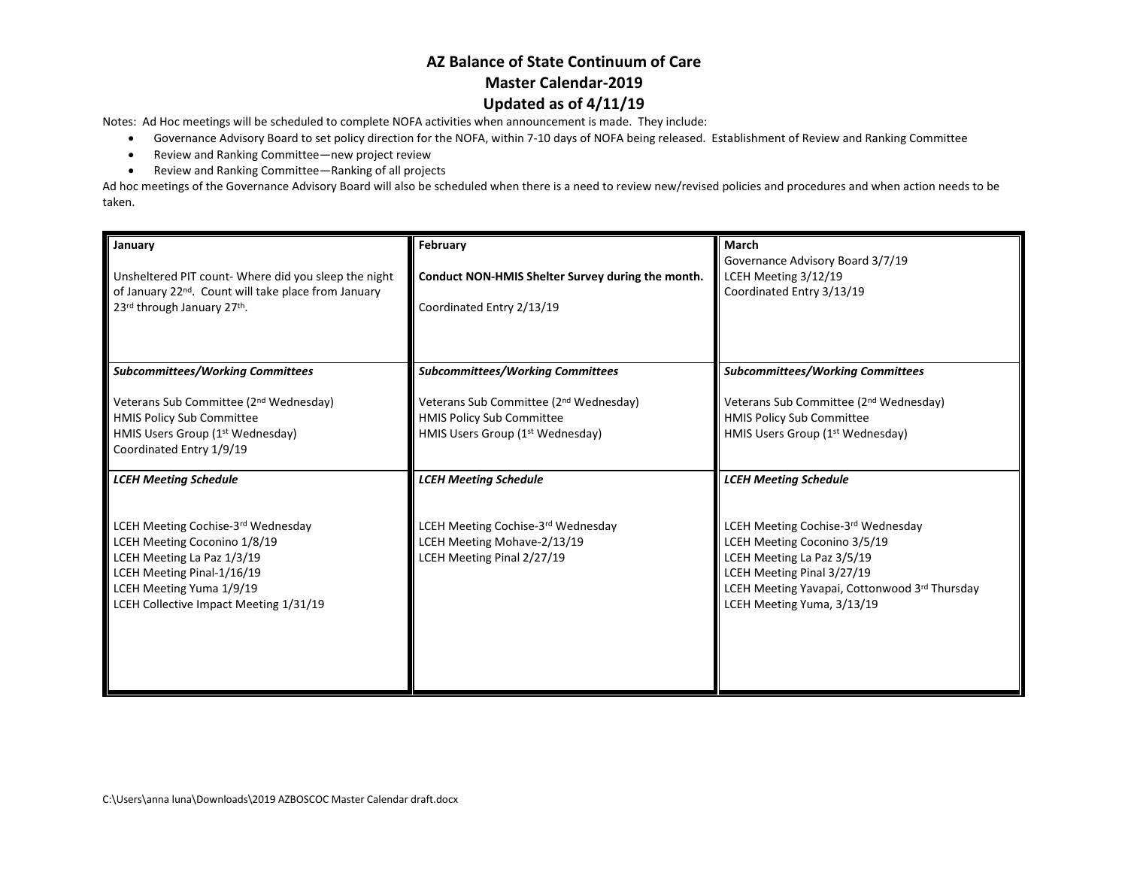Notes: Ad Hoc meetings will be scheduled to complete NOFA activities when announcement is made. They include:

- Governance Advisory Board to set policy direction for the NOFA, within 7-10 days of NOFA being released. Establishment of Review and Ranking Committee
- Review and Ranking Committee—new project review
- Review and Ranking Committee—Ranking of all projects

Ad hoc meetings of the Governance Advisory Board will also be scheduled when there is a need to review new/revised policies and procedures and when action needs to be taken.

| January<br>Unsheltered PIT count-Where did you sleep the night<br>of January 22 <sup>nd</sup> . Count will take place from January<br>23rd through January 27th.                                              | February<br>Conduct NON-HMIS Shelter Survey during the month.<br>Coordinated Entry 2/13/19                                                                                        | March<br>Governance Advisory Board 3/7/19<br>LCEH Meeting 3/12/19<br>Coordinated Entry 3/13/19                                                                                                                |
|---------------------------------------------------------------------------------------------------------------------------------------------------------------------------------------------------------------|-----------------------------------------------------------------------------------------------------------------------------------------------------------------------------------|---------------------------------------------------------------------------------------------------------------------------------------------------------------------------------------------------------------|
|                                                                                                                                                                                                               |                                                                                                                                                                                   |                                                                                                                                                                                                               |
| <b>Subcommittees/Working Committees</b><br>Veterans Sub Committee (2 <sup>nd</sup> Wednesday)<br><b>HMIS Policy Sub Committee</b><br>HMIS Users Group (1 <sup>st</sup> Wednesday)<br>Coordinated Entry 1/9/19 | <b>Subcommittees/Working Committees</b><br>Veterans Sub Committee (2 <sup>nd</sup> Wednesday)<br><b>HMIS Policy Sub Committee</b><br>HMIS Users Group (1 <sup>st</sup> Wednesday) | <b>Subcommittees/Working Committees</b><br>Veterans Sub Committee (2 <sup>nd</sup> Wednesday)<br><b>HMIS Policy Sub Committee</b><br>HMIS Users Group (1st Wednesday)                                         |
| <b>LCEH Meeting Schedule</b>                                                                                                                                                                                  | <b>LCEH Meeting Schedule</b>                                                                                                                                                      | <b>LCEH Meeting Schedule</b>                                                                                                                                                                                  |
| LCEH Meeting Cochise-3rd Wednesday<br>LCEH Meeting Coconino 1/8/19<br>LCEH Meeting La Paz 1/3/19<br>LCEH Meeting Pinal-1/16/19<br>LCEH Meeting Yuma 1/9/19<br>LCEH Collective Impact Meeting 1/31/19          | LCEH Meeting Cochise-3rd Wednesday<br>LCEH Meeting Mohave-2/13/19<br>LCEH Meeting Pinal 2/27/19                                                                                   | LCEH Meeting Cochise-3rd Wednesday<br>LCEH Meeting Coconino 3/5/19<br>LCEH Meeting La Paz 3/5/19<br>LCEH Meeting Pinal 3/27/19<br>LCEH Meeting Yavapai, Cottonwood 3rd Thursday<br>LCEH Meeting Yuma, 3/13/19 |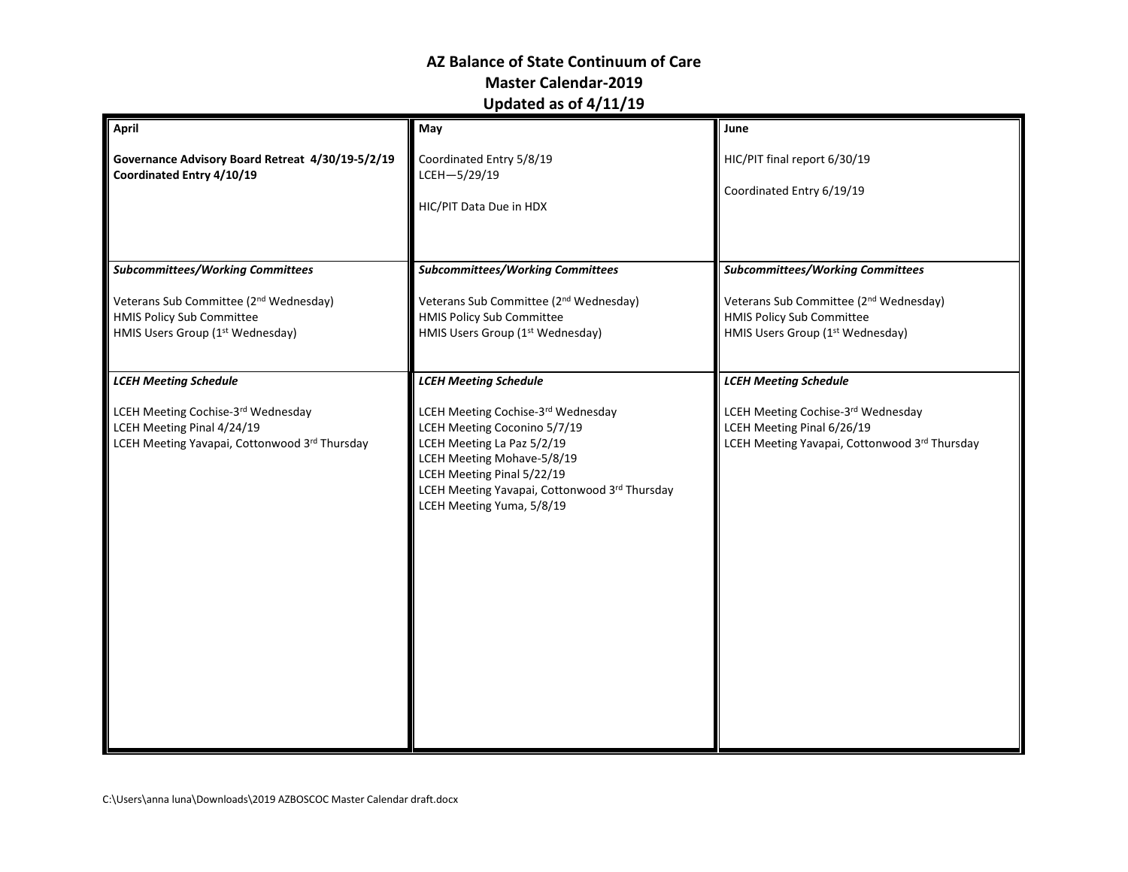| <b>April</b>                                                                                                               | May                                                                                                                                                                                                                                        | June                                                                                                                       |
|----------------------------------------------------------------------------------------------------------------------------|--------------------------------------------------------------------------------------------------------------------------------------------------------------------------------------------------------------------------------------------|----------------------------------------------------------------------------------------------------------------------------|
| Governance Advisory Board Retreat 4/30/19-5/2/19<br>Coordinated Entry 4/10/19                                              | Coordinated Entry 5/8/19<br>LCEH-5/29/19<br>HIC/PIT Data Due in HDX                                                                                                                                                                        | HIC/PIT final report 6/30/19<br>Coordinated Entry 6/19/19                                                                  |
| <b>Subcommittees/Working Committees</b>                                                                                    | <b>Subcommittees/Working Committees</b>                                                                                                                                                                                                    | <b>Subcommittees/Working Committees</b>                                                                                    |
| Veterans Sub Committee (2 <sup>nd</sup> Wednesday)<br><b>HMIS Policy Sub Committee</b><br>HMIS Users Group (1st Wednesday) | Veterans Sub Committee (2 <sup>nd</sup> Wednesday)<br>HMIS Policy Sub Committee<br>HMIS Users Group (1st Wednesday)                                                                                                                        | Veterans Sub Committee (2 <sup>nd</sup> Wednesday)<br><b>HMIS Policy Sub Committee</b><br>HMIS Users Group (1st Wednesday) |
| <b>LCEH Meeting Schedule</b>                                                                                               | <b>LCEH Meeting Schedule</b>                                                                                                                                                                                                               | <b>LCEH Meeting Schedule</b>                                                                                               |
| LCEH Meeting Cochise-3rd Wednesday<br>LCEH Meeting Pinal 4/24/19<br>LCEH Meeting Yavapai, Cottonwood 3rd Thursday          | LCEH Meeting Cochise-3rd Wednesday<br>LCEH Meeting Coconino 5/7/19<br>LCEH Meeting La Paz 5/2/19<br>LCEH Meeting Mohave-5/8/19<br>LCEH Meeting Pinal 5/22/19<br>LCEH Meeting Yavapai, Cottonwood 3rd Thursday<br>LCEH Meeting Yuma, 5/8/19 | LCEH Meeting Cochise-3rd Wednesday<br>LCEH Meeting Pinal 6/26/19<br>LCEH Meeting Yavapai, Cottonwood 3rd Thursday          |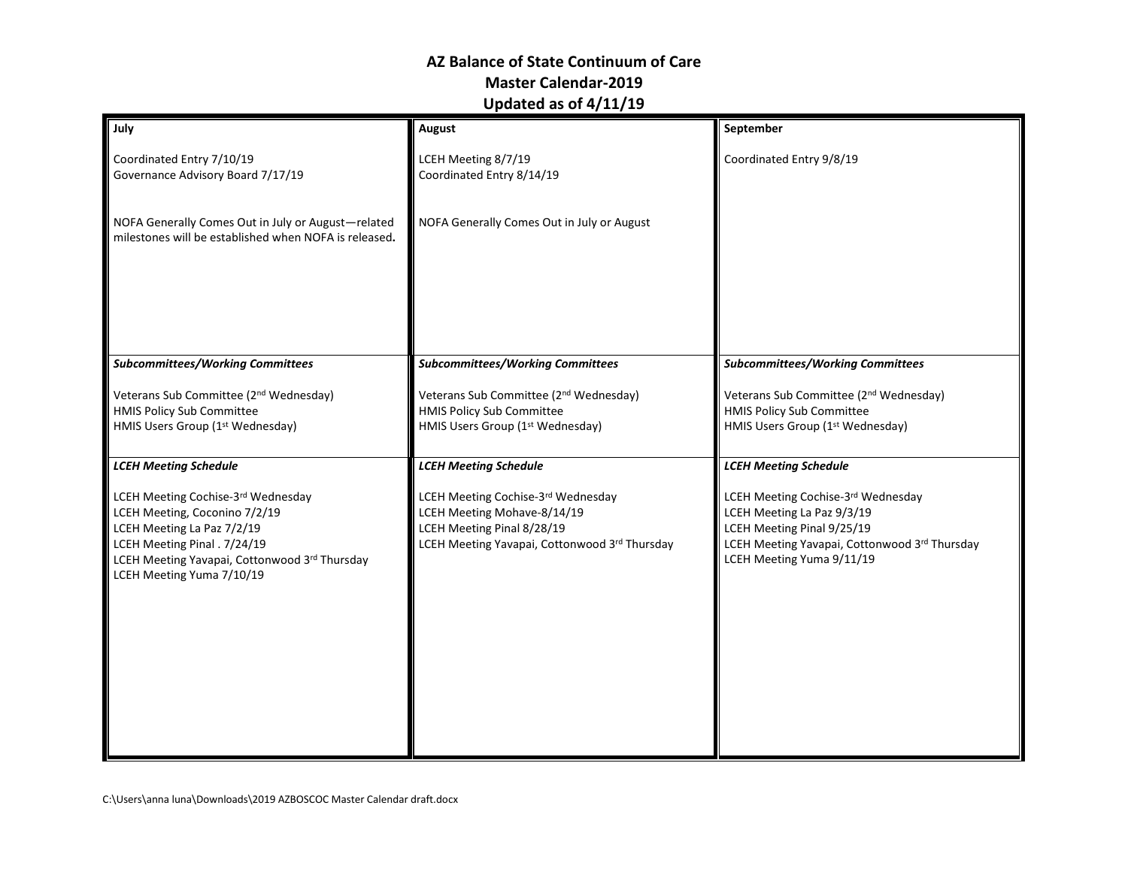| July                                                                                                                                                                                                            | August                                                                                                                                           | September                                                                                                                                                                    |
|-----------------------------------------------------------------------------------------------------------------------------------------------------------------------------------------------------------------|--------------------------------------------------------------------------------------------------------------------------------------------------|------------------------------------------------------------------------------------------------------------------------------------------------------------------------------|
| Coordinated Entry 7/10/19<br>Governance Advisory Board 7/17/19                                                                                                                                                  | LCEH Meeting 8/7/19<br>Coordinated Entry 8/14/19                                                                                                 | Coordinated Entry 9/8/19                                                                                                                                                     |
| NOFA Generally Comes Out in July or August-related<br>milestones will be established when NOFA is released.                                                                                                     | NOFA Generally Comes Out in July or August                                                                                                       |                                                                                                                                                                              |
|                                                                                                                                                                                                                 |                                                                                                                                                  |                                                                                                                                                                              |
| <b>Subcommittees/Working Committees</b>                                                                                                                                                                         | <b>Subcommittees/Working Committees</b>                                                                                                          | <b>Subcommittees/Working Committees</b>                                                                                                                                      |
| Veterans Sub Committee (2 <sup>nd</sup> Wednesday)<br><b>HMIS Policy Sub Committee</b><br>HMIS Users Group (1st Wednesday)                                                                                      | Veterans Sub Committee (2 <sup>nd</sup> Wednesday)<br><b>HMIS Policy Sub Committee</b><br>HMIS Users Group (1st Wednesday)                       | Veterans Sub Committee (2 <sup>nd</sup> Wednesday)<br>HMIS Policy Sub Committee<br>HMIS Users Group (1st Wednesday)                                                          |
| <b>LCEH Meeting Schedule</b>                                                                                                                                                                                    | <b>LCEH Meeting Schedule</b>                                                                                                                     | <b>LCEH Meeting Schedule</b>                                                                                                                                                 |
| LCEH Meeting Cochise-3rd Wednesday<br>LCEH Meeting, Coconino 7/2/19<br>LCEH Meeting La Paz 7/2/19<br>LCEH Meeting Pinal . 7/24/19<br>LCEH Meeting Yavapai, Cottonwood 3rd Thursday<br>LCEH Meeting Yuma 7/10/19 | LCEH Meeting Cochise-3rd Wednesday<br>LCEH Meeting Mohave-8/14/19<br>LCEH Meeting Pinal 8/28/19<br>LCEH Meeting Yavapai, Cottonwood 3rd Thursday | LCEH Meeting Cochise-3rd Wednesday<br>LCEH Meeting La Paz 9/3/19<br>LCEH Meeting Pinal 9/25/19<br>LCEH Meeting Yavapai, Cottonwood 3rd Thursday<br>LCEH Meeting Yuma 9/11/19 |